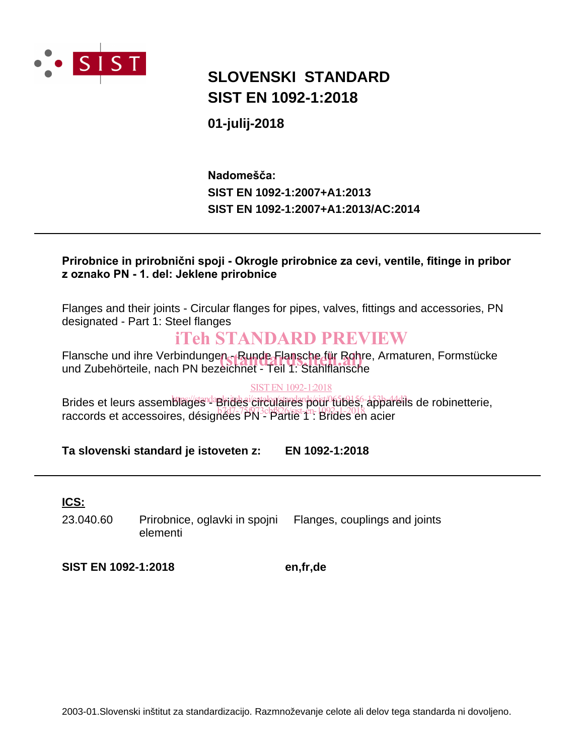

# **SIST EN 1092-1:2018 SLOVENSKI STANDARD**

# **01-julij-2018**

# **SIST EN 1092-1:2007+A1:2013/AC:2014 SIST EN 1092-1:2007+A1:2013** Nadomešča:

# Prirobnice in prirobnični spoji - Okrogle prirobnice za cevi, ventile, fitinge in pribor z oznako PN - 1. del: Jeklene prirobnice

Flanges and their joints - Circular flanges for pipes, valves, fittings and accessories, PN designated - Part 1: Steel flanges

# iTeh STANDARD PREVIEW

Flansche und ihre Verbindungen - Runde Flansche für Rohre, Armaturen, Formstücke Flansche und ihre Verbindungen - Runde Flansche für Rohre<br>und Zubehörteile, nach PN bezeichnet - Teil 1: Stahlflansche

# SIST EN 1092-1:2018

Brides et leurs assemblages<sup>, ap</sup>rides circulaires pour tubes, appareils de robinetterie, <u>Bridge et louile decembrages</u> Parties en 1093 august en 1093 de 2018 appar<br>raccords et accessoires, désignées PN - Partie 1<sup>-1</sup>: Brides en acier

# **Ta slovenski standard je istoveten z: EN 1092-1:2018**

# **ICS:**

23.040.60 Prirobnice, oglavki in spojni elementi Flanges, couplings and joints

**SIST EN 1092-1:2018 en,fr,de**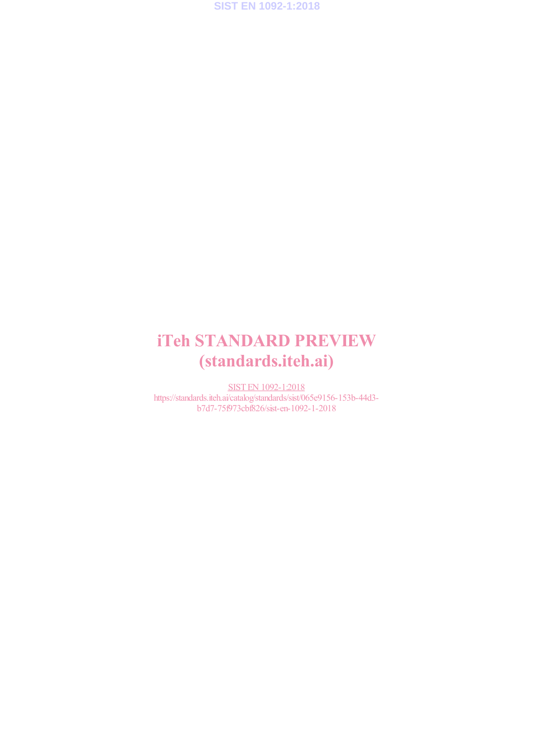**SIST EN 1092-1:2018**

# iTeh STANDARD PREVIEW (standards.iteh.ai)

SIST EN 1092-1:2018 https://standards.iteh.ai/catalog/standards/sist/065e9156-153b-44d3 b7d7-75f973cbf826/sist-en-1092-1-2018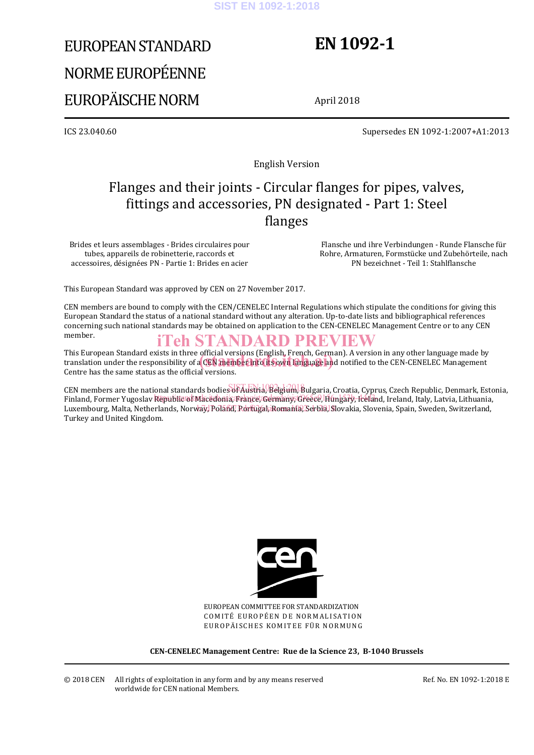### **SIST EN 1092-1:2018**

# EUROPEAN STANDARD NORME EUROPÉENNE EUROPÄISCHE NORM

# **EN 1092-1**

April 2018

ICS 23.040.60 Supersedes EN 1092-1:2007+A1:2013

English Version

# Flanges and their joints - Circular flanges for pipes, valves, fittings and accessories, PN designated - Part 1: Steel flanges

Brides et leurs assemblages - Brides circulaires pour tubes, appareils de robinetterie, raccords et accessoires, désignées PN - Partie 1: Brides en acier

 Flansche und ihre Verbindungen - Runde Flansche für Rohre, Armaturen, Formstücke und Zubehörteile, nach PN bezeichnet - Teil 1: Stahlflansche

This European Standard was approved by CEN on 27 November 2017.

CEN members are bound to comply with the CEN/CENELEC Internal Regulations which stipulate the conditions for giving this European Standard the status of a national standard without any alteration. Up-to-date lists and bibliographical references concerning such national standards may be obtained on application to the CEN-CENELEC Management Centre or to any CEN member.

# iTeh STANDARD PREVIEW

This European Standard exists in three official versions (English, French, German). A version in any other language made by This European Standard exists in three official versions (English, French, German). A version in any other language made by<br>translation under the responsibility of a CEN member into its own language and notified to the CEN Centre has the same status as the official versions.

CEN members are the national standards bodies of Austria, Belgium, Bulgaria, Croatia, Cyprus, Czech Republic, Denmark, Estonia, Finland, Former Yugoslav Republic of Macedonia, France, Odrmany, Greece, Hingary, Iceland, Ireland, Italy, Latvia, Lithuania, Luxembourg, Malta, Netherlands, Norway, Poland, Rontugal, Romanin, Serbia, Slovakia, Slovenia, Spain, Sweden, Switzerland, Turkey and United Kingdom.



EUROPEAN COMMITTEE FOR STANDARDIZATION COMITÉ EUROPÉEN DE NORMALISATION EUROPÄISCHES KOMITEE FÜR NORMUNG

**CEN-CENELEC Management Centre: Rue de la Science 23, B-1040 Brussels** 

Ref. No. EN 1092-1:2018 E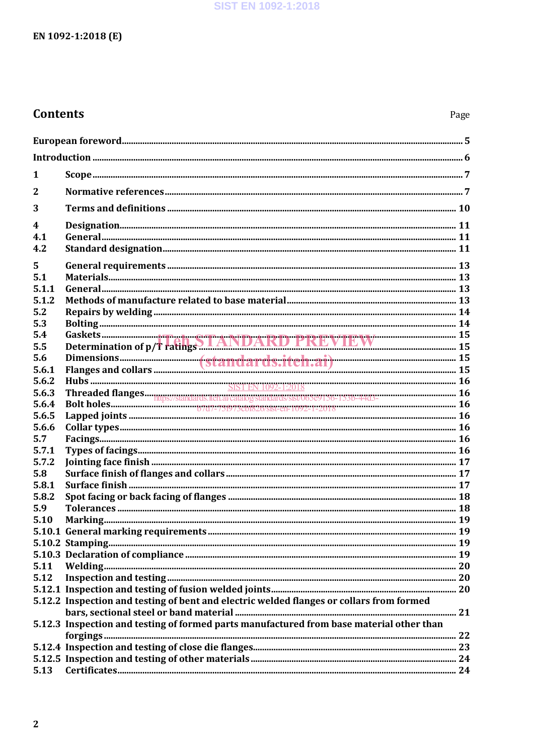# **Contents**

| 1              | $\mathbf{Scope}\xspace_{\mathit{num}\xspace_{\mathit{num}\xspace_{\mathit{num}\xspace_{\mathit{num}\xspace_{\mathit{num}\xspace_{\mathit{num}\xspace_{\mathit{num}\xspace_{\mathit{num}\xspace_{\mathit{num}\xspace_{\mathit{num}\xspace_{\mathit{num}\xspace_{\mathit{num}\xspace_{\mathit{num}\xspace_{\mathit{num}\xspace_{\mathit{num}\xspace_{\mathit{num}\xspace_{\mathit{num}\xspace_{\mathit{num}\xspace_{\mathit{num}\xspace_{\mathit{num}\xspace_{\mathit{num}\xspace_{\mathit{num}\xspace_{\mathit{num}\xspace_{\mathit{$ |  |  |  |
|----------------|--------------------------------------------------------------------------------------------------------------------------------------------------------------------------------------------------------------------------------------------------------------------------------------------------------------------------------------------------------------------------------------------------------------------------------------------------------------------------------------------------------------------------------------|--|--|--|
| $\overline{2}$ |                                                                                                                                                                                                                                                                                                                                                                                                                                                                                                                                      |  |  |  |
| 3              |                                                                                                                                                                                                                                                                                                                                                                                                                                                                                                                                      |  |  |  |
| 4              |                                                                                                                                                                                                                                                                                                                                                                                                                                                                                                                                      |  |  |  |
| 4.1            |                                                                                                                                                                                                                                                                                                                                                                                                                                                                                                                                      |  |  |  |
| 4.2            |                                                                                                                                                                                                                                                                                                                                                                                                                                                                                                                                      |  |  |  |
| 5              |                                                                                                                                                                                                                                                                                                                                                                                                                                                                                                                                      |  |  |  |
| 5.1            |                                                                                                                                                                                                                                                                                                                                                                                                                                                                                                                                      |  |  |  |
| 5.1.1          |                                                                                                                                                                                                                                                                                                                                                                                                                                                                                                                                      |  |  |  |
| 5.1.2          |                                                                                                                                                                                                                                                                                                                                                                                                                                                                                                                                      |  |  |  |
| 5.2            |                                                                                                                                                                                                                                                                                                                                                                                                                                                                                                                                      |  |  |  |
| 5.3            |                                                                                                                                                                                                                                                                                                                                                                                                                                                                                                                                      |  |  |  |
| 5.4            |                                                                                                                                                                                                                                                                                                                                                                                                                                                                                                                                      |  |  |  |
| 5.5            | Determination of p/f ratings ANDAKD FKEVIEW                                                                                                                                                                                                                                                                                                                                                                                                                                                                                          |  |  |  |
| 5.6            |                                                                                                                                                                                                                                                                                                                                                                                                                                                                                                                                      |  |  |  |
| 5.6.1          |                                                                                                                                                                                                                                                                                                                                                                                                                                                                                                                                      |  |  |  |
| 5.6.2          |                                                                                                                                                                                                                                                                                                                                                                                                                                                                                                                                      |  |  |  |
| 5.6.3          |                                                                                                                                                                                                                                                                                                                                                                                                                                                                                                                                      |  |  |  |
| 5.6.4          |                                                                                                                                                                                                                                                                                                                                                                                                                                                                                                                                      |  |  |  |
| 5.6.5          |                                                                                                                                                                                                                                                                                                                                                                                                                                                                                                                                      |  |  |  |
| 5.6.6          |                                                                                                                                                                                                                                                                                                                                                                                                                                                                                                                                      |  |  |  |
| 5.7            |                                                                                                                                                                                                                                                                                                                                                                                                                                                                                                                                      |  |  |  |
| 5.7.1          |                                                                                                                                                                                                                                                                                                                                                                                                                                                                                                                                      |  |  |  |
| 5.7.2          |                                                                                                                                                                                                                                                                                                                                                                                                                                                                                                                                      |  |  |  |
| 5.8            |                                                                                                                                                                                                                                                                                                                                                                                                                                                                                                                                      |  |  |  |
| 5.8.1          |                                                                                                                                                                                                                                                                                                                                                                                                                                                                                                                                      |  |  |  |
| 5.8.2          |                                                                                                                                                                                                                                                                                                                                                                                                                                                                                                                                      |  |  |  |
| 5.9            |                                                                                                                                                                                                                                                                                                                                                                                                                                                                                                                                      |  |  |  |
| 5.10           |                                                                                                                                                                                                                                                                                                                                                                                                                                                                                                                                      |  |  |  |
|                |                                                                                                                                                                                                                                                                                                                                                                                                                                                                                                                                      |  |  |  |
|                |                                                                                                                                                                                                                                                                                                                                                                                                                                                                                                                                      |  |  |  |
|                |                                                                                                                                                                                                                                                                                                                                                                                                                                                                                                                                      |  |  |  |
| 5.11           |                                                                                                                                                                                                                                                                                                                                                                                                                                                                                                                                      |  |  |  |
| 5.12           |                                                                                                                                                                                                                                                                                                                                                                                                                                                                                                                                      |  |  |  |
|                |                                                                                                                                                                                                                                                                                                                                                                                                                                                                                                                                      |  |  |  |
|                | 5.12.2 Inspection and testing of bent and electric welded flanges or collars from formed                                                                                                                                                                                                                                                                                                                                                                                                                                             |  |  |  |
|                | 5.12.3 Inspection and testing of formed parts manufactured from base material other than                                                                                                                                                                                                                                                                                                                                                                                                                                             |  |  |  |
|                |                                                                                                                                                                                                                                                                                                                                                                                                                                                                                                                                      |  |  |  |
|                |                                                                                                                                                                                                                                                                                                                                                                                                                                                                                                                                      |  |  |  |
|                |                                                                                                                                                                                                                                                                                                                                                                                                                                                                                                                                      |  |  |  |
| 5.13           |                                                                                                                                                                                                                                                                                                                                                                                                                                                                                                                                      |  |  |  |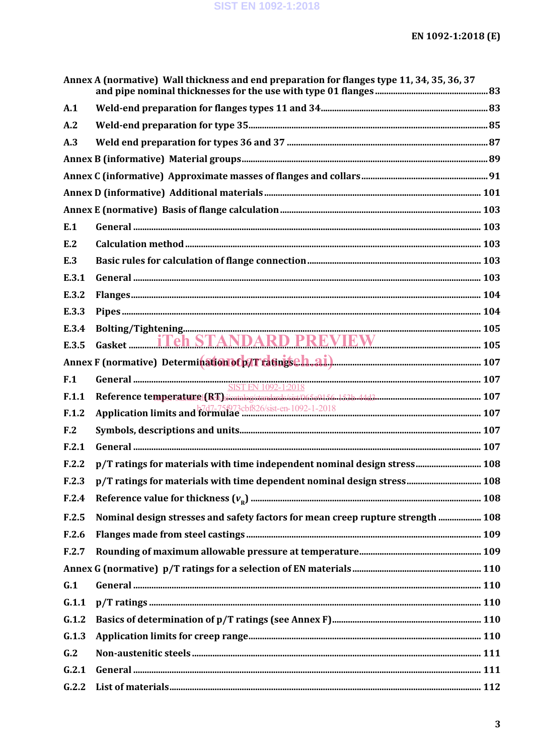|                 | Annex A (normative) Wall thickness and end preparation for flanges type 11, 34, 35, 36, 37 |  |
|-----------------|--------------------------------------------------------------------------------------------|--|
| A.1             |                                                                                            |  |
| A.2             |                                                                                            |  |
| A.3             |                                                                                            |  |
|                 |                                                                                            |  |
|                 |                                                                                            |  |
|                 |                                                                                            |  |
|                 |                                                                                            |  |
| E.1             |                                                                                            |  |
| E.2             |                                                                                            |  |
| E.3             |                                                                                            |  |
| E.3.1           |                                                                                            |  |
| E.3.2           |                                                                                            |  |
| E.3.3           |                                                                                            |  |
| E.3.4           |                                                                                            |  |
| E.3.5           | Gasket <b>Teh STANDARD PREVIEW</b> 105                                                     |  |
|                 |                                                                                            |  |
| F.1             | SIST EN 1092-1:2018                                                                        |  |
| F.1.1           |                                                                                            |  |
| F.1.2           |                                                                                            |  |
| F <sub>12</sub> |                                                                                            |  |
| F.2.1           |                                                                                            |  |
| F.2.2           | p/T ratings for materials with time independent nominal design stress 108                  |  |
| F.2.3           | p/T ratings for materials with time dependent nominal design stress 108                    |  |
| F.2.4           |                                                                                            |  |
| F.2.5           | Nominal design stresses and safety factors for mean creep rupture strength  108            |  |
| F.2.6           |                                                                                            |  |
| F.2.7           |                                                                                            |  |
|                 |                                                                                            |  |
| G.1             |                                                                                            |  |
| G.1.1           |                                                                                            |  |
| G.1.2           |                                                                                            |  |
| G.1.3           |                                                                                            |  |
| G.2             |                                                                                            |  |
| G.2.1           |                                                                                            |  |
|                 |                                                                                            |  |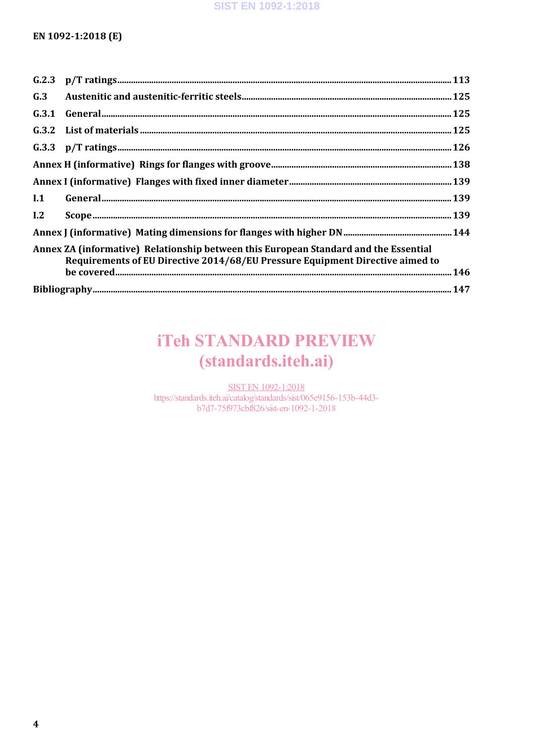| G.3                                                                                                                                                                   |  |  |
|-----------------------------------------------------------------------------------------------------------------------------------------------------------------------|--|--|
|                                                                                                                                                                       |  |  |
|                                                                                                                                                                       |  |  |
|                                                                                                                                                                       |  |  |
|                                                                                                                                                                       |  |  |
|                                                                                                                                                                       |  |  |
| I.1                                                                                                                                                                   |  |  |
| L <sub>2</sub>                                                                                                                                                        |  |  |
|                                                                                                                                                                       |  |  |
| Annex ZA (informative) Relationship between this European Standard and the Essential<br>Requirements of EU Directive 2014/68/EU Pressure Equipment Directive aimed to |  |  |
|                                                                                                                                                                       |  |  |
|                                                                                                                                                                       |  |  |

# **iTeh STANDARD PREVIEW** (standards.iteh.ai)

**SIST EN 1092-1:2018** https://standards.iteh.ai/catalog/standards/sist/065e9156-153b-44d3b7d7-75f973cbf826/sist-en-1092-1-2018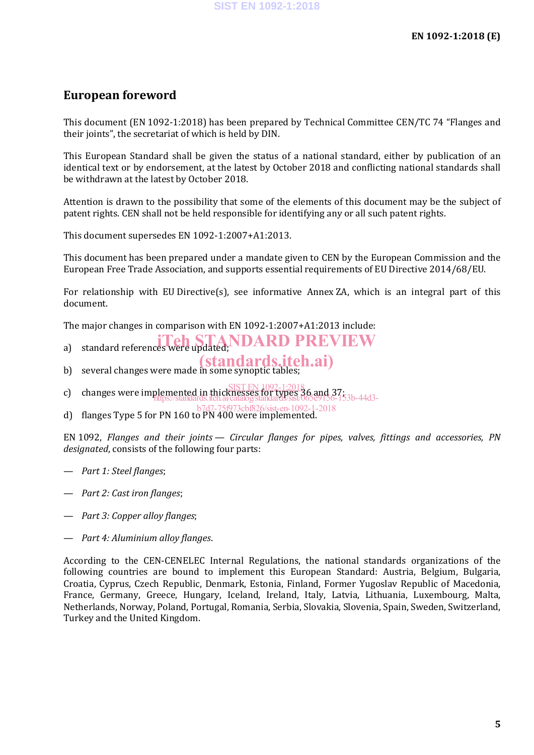# **European foreword**

This document (EN 1092-1:2018) has been prepared by Technical Committee CEN/TC 74 "Flanges and their joints", the secretariat of which is held by DIN.

This European Standard shall be given the status of a national standard, either by publication of an identical text or by endorsement, at the latest by October 2018 and conflicting national standards shall be withdrawn at the latest by October 2018.

Attention is drawn to the possibility that some of the elements of this document may be the subject of patent rights. CEN shall not be held responsible for identifying any or all such patent rights.

This document supersedes EN 1092-1:2007+A1:2013.

This document has been prepared under a mandate given to CEN by the European Commission and the European Free Trade Association, and supports essential requirements of EU Directive 2014/68/EU.

For relationship with EU Directive(s), see informative Annex ZA, which is an integral part of this document.

The major changes in comparison with EN 1092-1:2007+A1:2013 include:

- a) standard references were updated; NDARD PREVIEW
- (standards.iteh.ai)
- b) several changes were made in some synoptic tables;
- c) changes were implemented in thicknesses for types 36 and 37;<br>Film systems for the system of the average standard six 065e9156. SIST EN 1092-1:2018 https://standards.iteh.ai/catalog/standards/sist/065e9156-153b-44d3-
- d) flanges Type 5 for PN 160 to PN 400 were implemented. b7d7-75f973cbf826/sist-en-1092-1-2018

EN 1092, *Flanges and their joints — Circular flanges for pipes, valves, fittings and accessories, PN designated*, consists of the following four parts:

- *Part 1: Steel flanges*;
- *Part 2: Cast iron flanges*;
- *Part 3: Copper alloy flanges*;
- *Part 4: Aluminium alloy flanges*.

According to the CEN-CENELEC Internal Regulations, the national standards organizations of the following countries are bound to implement this European Standard: Austria, Belgium, Bulgaria, Croatia, Cyprus, Czech Republic, Denmark, Estonia, Finland, Former Yugoslav Republic of Macedonia, France, Germany, Greece, Hungary, Iceland, Ireland, Italy, Latvia, Lithuania, Luxembourg, Malta, Netherlands, Norway, Poland, Portugal, Romania, Serbia, Slovakia, Slovenia, Spain, Sweden, Switzerland, Turkey and the United Kingdom.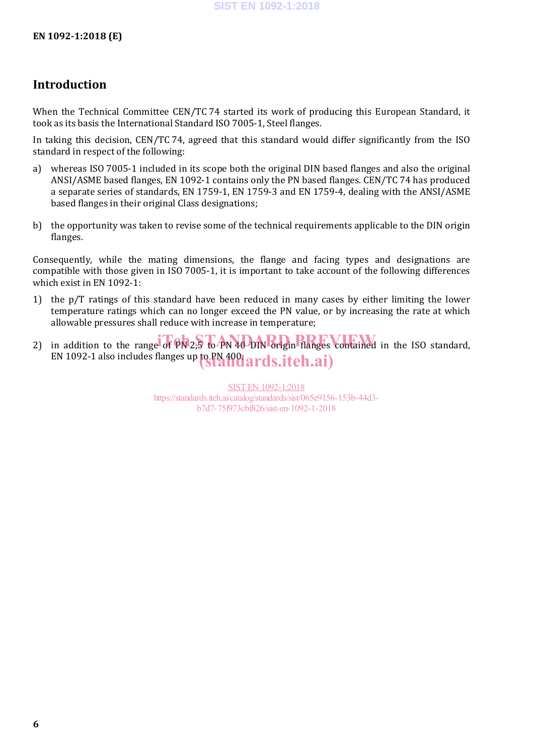# **Introduction**

When the Technical Committee CEN/TC 74 started its work of producing this European Standard, it took as its basis the International Standard ISO 7005-1, Steel flanges.

In taking this decision, CEN/TC 74, agreed that this standard would differ significantly from the ISO standard in respect of the following:

- a) whereas ISO 7005-1 included in its scope both the original DIN based flanges and also the original ANSI/ASME based flanges, EN 1092-1 contains only the PN based flanges. CEN/TC 74 has produced a separate series of standards, EN 1759-1, EN 1759-3 and EN 1759-4, dealing with the ANSI/ASME based flanges in their original Class designations;
- b) the opportunity was taken to revise some of the technical requirements applicable to the DIN origin flanges.

Consequently, while the mating dimensions, the flange and facing types and designations are compatible with those given in ISO 7005-1, it is important to take account of the following differences which exist in EN 1092-1:

- 1) the p/T ratings of this standard have been reduced in many cases by either limiting the lower temperature ratings which can no longer exceed the PN value, or by increasing the rate at which allowable pressures shall reduce with increase in temperature;
- 2) in addition to the range of  $\widehat{PN}$  2,5 to PN 40 DIN origin flanges contained in the ISO standard, EN 1092-1 also includes flanges up to PN 400 ards.iteh.ai)

SIST EN 1092-1:2018 https://standards.iteh.ai/catalog/standards/sist/065e9156-153b-44d3 b7d7-75f973cbf826/sist-en-1092-1-2018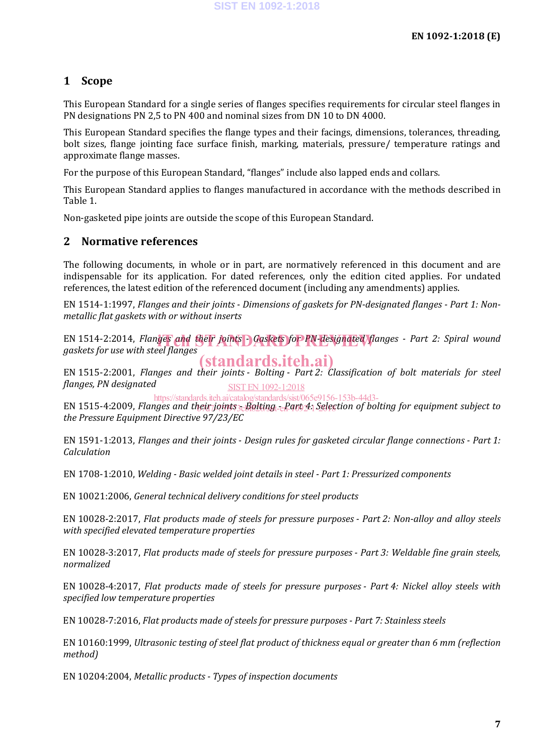# **1 Scope**

This European Standard for a single series of flanges specifies requirements for circular steel flanges in PN designations PN 2,5 to PN 400 and nominal sizes from DN 10 to DN 4000.

This European Standard specifies the flange types and their facings, dimensions, tolerances, threading, bolt sizes, flange jointing face surface finish, marking, materials, pressure/ temperature ratings and approximate flange masses.

For the purpose of this European Standard, "flanges" include also lapped ends and collars.

This European Standard applies to flanges manufactured in accordance with the methods described in Table 1.

Non-gasketed pipe joints are outside the scope of this European Standard.

# **2 Normative references**

The following documents, in whole or in part, are normatively referenced in this document and are indispensable for its application. For dated references, only the edition cited applies. For undated references, the latest edition of the referenced document (including any amendments) applies.

EN 1514-1:1997, *Flanges and their joints - Dimensions of gaskets for PN-designated flanges - Part 1: Nonmetallic flat gaskets with or without inserts*

EN 1514-2:2014, *Flanges* and their joints Caskets for PN-designated flanges - Part 2: Spiral wound askets for use with steel flanges *gaskets for use with steel flanges* (standards.iteh.ai)

EN 1515-2:2001, *Flanges and their joints - Bolting - Part 2: Classification of bolt materials for steel flanges, PN designated* SIST EN 1092-1:2018

https://standards.iteh.ai/catalog/standards/sist/065e9156-153b-44d3-

EN 1515-4:2009, Flanges and their joints <sub>30</sub>Bolting - Part 4: Selection of bolting for equipment subject to *the Pressure Equipment Directive 97/23/EC*

EN 1591-1:2013, *Flanges and their joints - Design rules for gasketed circular flange connections - Part 1: Calculation*

EN 1708-1:2010, *Welding - Basic welded joint details in steel - Part 1: Pressurized components*

EN 10021:2006, *General technical delivery conditions for steel products*

EN 10028-2:2017, *Flat products made of steels for pressure purposes - Part 2: Non-alloy and alloy steels with specified elevated temperature properties*

EN 10028-3:2017, *Flat products made of steels for pressure purposes - Part 3: Weldable fine grain steels, normalized*

EN 10028-4:2017, *Flat products made of steels for pressure purposes - Part 4: Nickel alloy steels with specified low temperature properties*

EN 10028-7:2016, *Flat products made of steels for pressure purposes - Part 7: Stainless steels*

EN 10160:1999, *Ultrasonic testing of steel flat product of thickness equal or greater than 6 mm (reflection method)*

EN 10204:2004, *Metallic products - Types of inspection documents*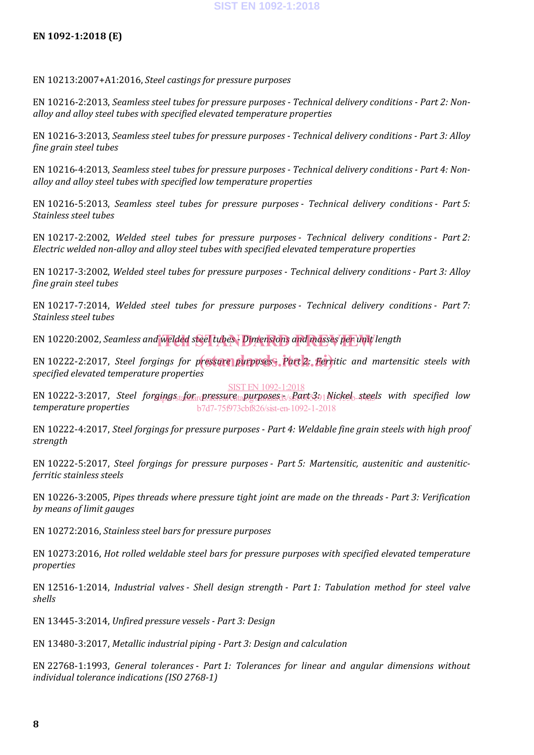EN 10213:2007+A1:2016, *Steel castings for pressure purposes*

EN 10216-2:2013, *Seamless steel tubes for pressure purposes - Technical delivery conditions - Part 2: Nonalloy and alloy steel tubes with specified elevated temperature properties*

EN 10216-3:2013, *Seamless steel tubes for pressure purposes - Technical delivery conditions - Part 3: Alloy fine grain steel tubes*

EN 10216-4:2013, *Seamless steel tubes for pressure purposes - Technical delivery conditions - Part 4: Nonalloy and alloy steel tubes with specified low temperature properties*

EN 10216-5:2013, *Seamless steel tubes for pressure purposes - Technical delivery conditions - Part 5: Stainless steel tubes*

EN 10217-2:2002, *Welded steel tubes for pressure purposes - Technical delivery conditions - Part 2: Electric welded non-alloy and alloy steel tubes with specified elevated temperature properties*

EN 10217-3:2002, *Welded steel tubes for pressure purposes - Technical delivery conditions - Part 3: Alloy fine grain steel tubes*

EN 10217-7:2014, *Welded steel tubes for pressure purposes - Technical delivery conditions - Part 7: Stainless steel tubes*

EN 10220:2002, Seamless and <mark>welded steel tubes <sup>.</sup> Dimensions and masses per unit</mark> length

EN 10222-2:2017, *Steel forgings for pressure purposes Part 2. Ferritic and martensitic steels with specified elevated temperature properties*

EN 10222-3:2017, *Steel forgings<del>, f</del>or pressure tapyrposes is/sfants*391Nickel, steels with specified low *temperature properties* SIST EN 1092-1:2018 b7d7-75f973cbf826/sist-en-1092-1-2018

EN 10222-4:2017, *Steel forgings for pressure purposes - Part 4: Weldable fine grain steels with high proof strength*

EN 10222-5:2017, *Steel forgings for pressure purposes - Part 5: Martensitic, austenitic and austeniticferritic stainless steels*

EN 10226-3:2005, *Pipes threads where pressure tight joint are made on the threads - Part 3: Verification by means of limit gauges*

EN 10272:2016, *Stainless steel bars for pressure purposes*

EN 10273:2016, *Hot rolled weldable steel bars for pressure purposes with specified elevated temperature properties*

EN 12516-1:2014, *Industrial valves - Shell design strength - Part 1: Tabulation method for steel valve shells*

EN 13445-3:2014, *Unfired pressure vessels - Part 3: Design*

EN 13480-3:2017, *Metallic industrial piping - Part 3: Design and calculation*

EN 22768-1:1993, *General tolerances - Part 1: Tolerances for linear and angular dimensions without individual tolerance indications (ISO 2768-1)*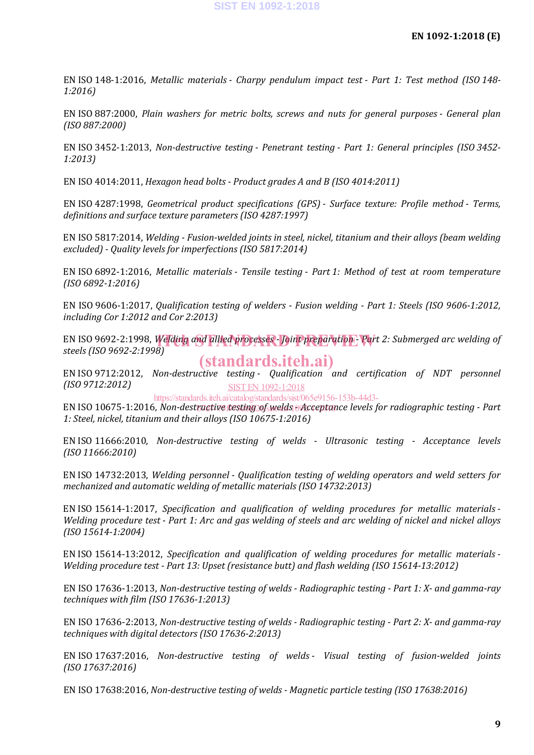EN ISO 148-1:2016, *Metallic materials - Charpy pendulum impact test - Part 1: Test method (ISO 148- 1:2016)*

EN ISO 887:2000, *Plain washers for metric bolts, screws and nuts for general purposes - General plan (ISO 887:2000)*

EN ISO 3452-1:2013, *Non-destructive testing - Penetrant testing - Part 1: General principles (ISO 3452- 1:2013)*

EN ISO 4014:2011, *Hexagon head bolts - Product grades A and B (ISO 4014:2011)*

EN ISO 4287:1998, *Geometrical product specifications (GPS) - Surface texture: Profile method - Terms, definitions and surface texture parameters (ISO 4287:1997)*

EN ISO 5817:2014, *Welding - Fusion-welded joints in steel, nickel, titanium and their alloys (beam welding excluded) - Quality levels for imperfections (ISO 5817:2014)*

EN ISO 6892-1:2016, *Metallic materials - Tensile testing - Part 1: Method of test at room temperature (ISO 6892-1:2016)*

EN ISO 9606-1:2017, *Qualification testing of welders - Fusion welding - Part 1: Steels (ISO 9606-1:2012, including Cor 1:2012 and Cor 2:2013)*

EN ISO 9692-2:1998, Welding and allied processes - Joint preparation *- Part 2: Submerged arc welding of*<br>steels (ISO 9692-2:1999) *steels (ISO 9692-2:1998)* (standards.iteh.ai)

EN ISO 9712:2012, *Non-destructive testing - Qualification and certification of NDT personnel (ISO 9712:2012)* SIST EN 1092-1:2018

https://standards.iteh.ai/catalog/standards/sist/065e9156-153b-44d3-

EN ISO 10675-1:2016, *Non-destructive testing of welds - Acceptance levels for radiographic testing - Part*  b7d7-75f973cbf826/sist-en-1092-1-2018*1: Steel, nickel, titanium and their alloys (ISO 10675-1:2016)*

EN ISO 11666:2010, *Non-destructive testing of welds - Ultrasonic testing - Acceptance levels (ISO 11666:2010)*

EN ISO 14732:2013, *Welding personnel - Qualification testing of welding operators and weld setters for mechanized and automatic welding of metallic materials (ISO 14732:2013)*

EN ISO 15614-1:2017, *Specification and qualification of welding procedures for metallic materials - Welding procedure test - Part 1: Arc and gas welding of steels and arc welding of nickel and nickel alloys (ISO 15614-1:2004)*

EN ISO 15614-13:2012, *Specification and qualification of welding procedures for metallic materials - Welding procedure test - Part 13: Upset (resistance butt) and flash welding (ISO 15614-13:2012)*

EN ISO 17636-1:2013, *Non-destructive testing of welds - Radiographic testing - Part 1: X- and gamma-ray techniques with film (ISO 17636-1:2013)*

EN ISO 17636-2:2013, *Non-destructive testing of welds - Radiographic testing - Part 2: X- and gamma-ray techniques with digital detectors (ISO 17636-2:2013)*

EN ISO 17637:2016, *Non-destructive testing of welds - Visual testing of fusion-welded joints (ISO 17637:2016)*

EN ISO 17638:2016, *Non-destructive testing of welds - Magnetic particle testing (ISO 17638:2016)*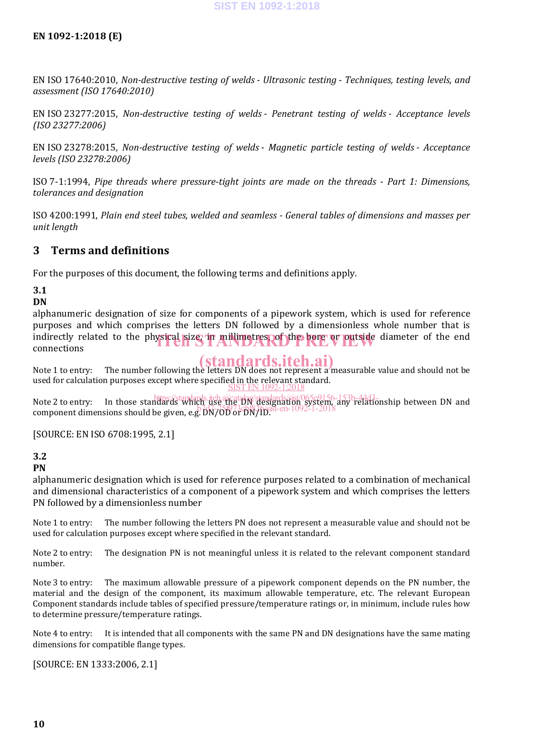EN ISO 17640:2010, *Non-destructive testing of welds - Ultrasonic testing - Techniques, testing levels, and assessment (ISO 17640:2010)*

EN ISO 23277:2015, *Non-destructive testing of welds - Penetrant testing of welds - Acceptance levels (ISO 23277:2006)*

EN ISO 23278:2015, *Non-destructive testing of welds - Magnetic particle testing of welds - Acceptance levels (ISO 23278:2006)*

ISO 7-1:1994, *Pipe threads where pressure-tight joints are made on the threads - Part 1: Dimensions, tolerances and designation*

ISO 4200:1991, *Plain end steel tubes, welded and seamless - General tables of dimensions and masses per unit length*

# **3 Terms and definitions**

For the purposes of this document, the following terms and definitions apply.

# **3.1**

## **DN**

alphanumeric designation of size for components of a pipework system, which is used for reference purposes and which comprises the letters DN followed by a dimensionless whole number that is indirectly related to the physical size, in millimetres, of the bore or putside diameter of the end connections connections

Note 1 to entry: The number following the letters DN does not represent a measurable value and should not be used for calculation purposes except where specified in the relevant standard.<br><u>SIST EN 1092-1:2018</u>

Note 2 to entry: In those standard standards itch aircatalog/standards/sist/065e9156-153b-44d3<br>Note 2 to entry: In those standardstandards.itch aircatalogy against population of the lationship between DN and  $\frac{2}{3}$  component dimensions should be given, e.g. DN/OD or DN/ID.<sup>81</sup>-en-1092-1-2018

[SOURCE: EN ISO 6708:1995, 2.1]

# **3.2**

**PN**

alphanumeric designation which is used for reference purposes related to a combination of mechanical and dimensional characteristics of a component of a pipework system and which comprises the letters PN followed by a dimensionless number

Note 1 to entry: The number following the letters PN does not represent a measurable value and should not be used for calculation purposes except where specified in the relevant standard.

Note 2 to entry: The designation PN is not meaningful unless it is related to the relevant component standard number.

Note 3 to entry: The maximum allowable pressure of a pipework component depends on the PN number, the material and the design of the component, its maximum allowable temperature, etc. The relevant European Component standards include tables of specified pressure/temperature ratings or, in minimum, include rules how to determine pressure/temperature ratings.

Note 4 to entry: It is intended that all components with the same PN and DN designations have the same mating dimensions for compatible flange types.

[SOURCE: EN 1333:2006, 2.1]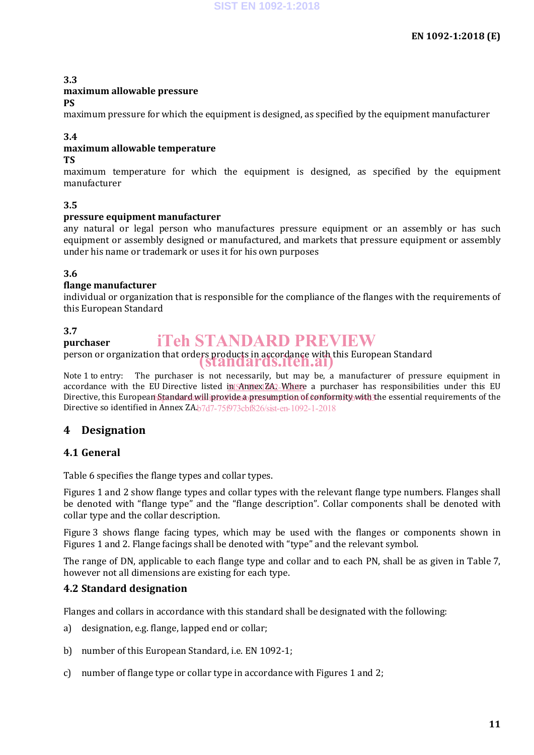### **3.3 maximum allowable pressure PS**

maximum pressure for which the equipment is designed, as specified by the equipment manufacturer

### **3.4**

# **maximum allowable temperature**

**TS**

maximum temperature for which the equipment is designed, as specified by the equipment manufacturer

# **3.5**

### **pressure equipment manufacturer**

any natural or legal person who manufactures pressure equipment or an assembly or has such equipment or assembly designed or manufactured, and markets that pressure equipment or assembly under his name or trademark or uses it for his own purposes

# **3.6**

### **flange manufacturer**

individual or organization that is responsible for the compliance of the flanges with the requirements of this European Standard

# **3.7**

### **purchaser** iTeh STANDARD PREVIEW

### person or organization that orders products in accordance with this European Standard (standards.iteh.ai)

Note 1 to entry: The purchaser is not necessarily, but may be, a manufacturer of pressure equipment in accordance with the EU-Directive listed i<u>n Anmex ZA2-Where</u> a purchaser has responsibilities under this EU Directive, this European Standard will provide a presumption 06 conformity with the essential requirements of the Directive so identified in Annex ZA. b7d7-75f973cbf826/sist-en-1092-1-2018

# **4 Designation**

# **4.1 General**

Table 6 specifies the flange types and collar types.

Figures 1 and 2 show flange types and collar types with the relevant flange type numbers. Flanges shall be denoted with "flange type" and the "flange description". Collar components shall be denoted with collar type and the collar description.

Figure 3 shows flange facing types, which may be used with the flanges or components shown in Figures 1 and 2. Flange facings shall be denoted with "type" and the relevant symbol.

The range of DN, applicable to each flange type and collar and to each PN, shall be as given in Table 7, however not all dimensions are existing for each type.

# **4.2 Standard designation**

Flanges and collars in accordance with this standard shall be designated with the following:

- a) designation, e.g. flange, lapped end or collar;
- b) number of this European Standard, i.e. EN 1092-1;
- c) number of flange type or collar type in accordance with Figures 1 and 2;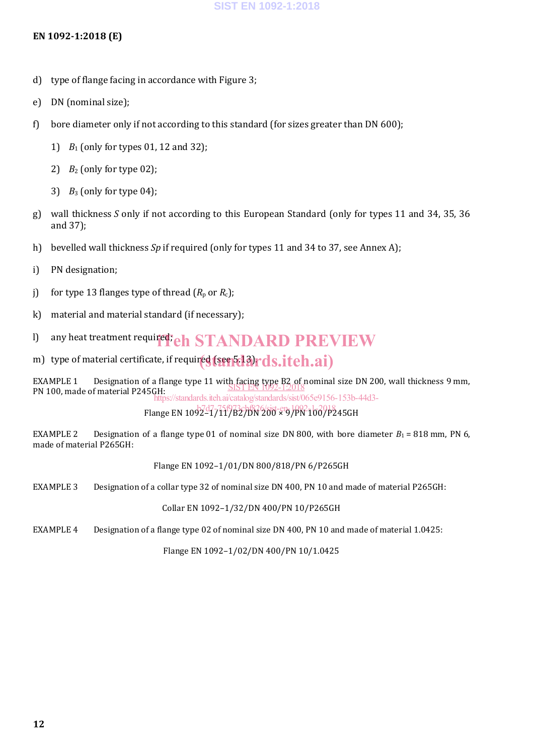# **EN 1092-1:2018 (E)**

- d) type of flange facing in accordance with Figure 3;
- e) DN (nominal size);
- f) bore diameter only if not according to this standard (for sizes greater than DN 600);
	- 1) *B*<sup>1</sup> (only for types 01, 12 and 32);
	- 2)  $B_2$  (only for type 02);
	- 3)  $B_3$  (only for type 04);
- g) wall thickness *S* only if not according to this European Standard (only for types 11 and 34, 35, 36 and 37);
- h) bevelled wall thickness *Sp* if required (only for types 11 and 34 to 37, see Annex A);
- i) PN designation;
- j) for type 13 flanges type of thread  $(R_p$  or  $R_c$ );
- k) material and material standard (if necessary);
- l) any heat treatment required; *eh STANDARD PREVIEW*
- m) type of material certificate, if required (seep 13) rds.iteh.ai)

EXAMPLE 1 Designation of a flange type 11 with facing type B2 of nominal size DN 200, wall thickness 9 mm, SIST EN 1092-1:2018 PN 100, made of material P245GH: .<br>https://standards.iteh.ai/catalog/standards/sist/065e9156-153b-44d3-

Flange EN 109247717827BN 200-89/PN 1007P245GH

EXAMPLE 2 Designation of a flange type 01 of nominal size DN 800, with bore diameter  $B_1 = 818$  mm, PN 6, made of material P265GH:

Flange EN 1092–1/01/DN 800/818/PN 6/P265GH

EXAMPLE 3 Designation of a collar type 32 of nominal size DN 400, PN 10 and made of material P265GH:

Collar EN 1092–1/32/DN 400/PN 10/P265GH

EXAMPLE 4 Designation of a flange type 02 of nominal size DN 400, PN 10 and made of material 1.0425:

Flange EN 1092–1/02/DN 400/PN 10/1.0425